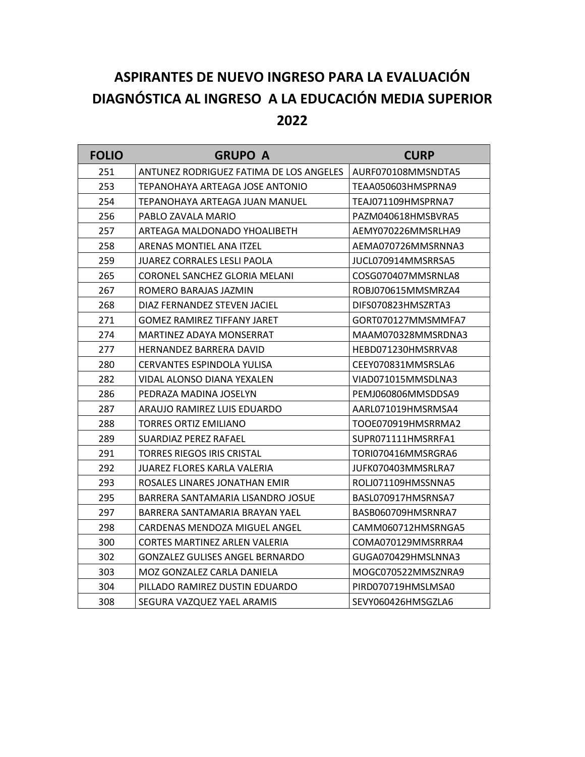## **ASPIRANTES DE NUEVO INGRESO PARA LA EVALUACIÓN DIAGNÓSTICA AL INGRESO A LA EDUCACIÓN MEDIA SUPERIOR**

| <b>FOLIO</b> | <b>GRUPO A</b>                          | <b>CURP</b>        |
|--------------|-----------------------------------------|--------------------|
| 251          | ANTUNEZ RODRIGUEZ FATIMA DE LOS ANGELES | AURF070108MMSNDTA5 |
| 253          | TEPANOHAYA ARTEAGA JOSE ANTONIO         | TEAA050603HMSPRNA9 |
| 254          | TEPANOHAYA ARTEAGA JUAN MANUEL          | TEAJ071109HMSPRNA7 |
| 256          | PABLO ZAVALA MARIO                      | PAZM040618HMSBVRA5 |
| 257          | ARTEAGA MALDONADO YHOALIBETH            | AEMY070226MMSRLHA9 |
| 258          | ARENAS MONTIEL ANA ITZEL                | AEMA070726MMSRNNA3 |
| 259          | <b>JUAREZ CORRALES LESLI PAOLA</b>      | JUCL070914MMSRRSA5 |
| 265          | CORONEL SANCHEZ GLORIA MELANI           | COSG070407MMSRNLA8 |
| 267          | ROMERO BARAJAS JAZMIN                   | ROBJ070615MMSMRZA4 |
| 268          | DIAZ FERNANDEZ STEVEN JACIEL            | DIFS070823HMSZRTA3 |
| 271          | GOMEZ RAMIREZ TIFFANY JARET             | GORT070127MMSMMFA7 |
| 274          | MARTINEZ ADAYA MONSERRAT                | MAAM070328MMSRDNA3 |
| 277          | HERNANDEZ BARRERA DAVID                 | HEBD071230HMSRRVA8 |
| 280          | CERVANTES ESPINDOLA YULISA              | CEEY070831MMSRSLA6 |
| 282          | VIDAL ALONSO DIANA YEXALEN              | VIAD071015MMSDLNA3 |
| 286          | PEDRAZA MADINA JOSELYN                  | PEMJ060806MMSDDSA9 |
| 287          | ARAUJO RAMIREZ LUIS EDUARDO             | AARL071019HMSRMSA4 |
| 288          | <b>TORRES ORTIZ EMILIANO</b>            | TOOE070919HMSRRMA2 |
| 289          | SUARDIAZ PEREZ RAFAEL                   | SUPR071111HMSRRFA1 |
| 291          | TORRES RIEGOS IRIS CRISTAL              | TORI070416MMSRGRA6 |
| 292          | JUAREZ FLORES KARLA VALERIA             | JUFK070403MMSRLRA7 |
| 293          | ROSALES LINARES JONATHAN EMIR           | ROLJ071109HMSSNNA5 |
| 295          | BARRERA SANTAMARIA LISANDRO JOSUE       | BASL070917HMSRNSA7 |
| 297          | BARRERA SANTAMARIA BRAYAN YAEL          | BASB060709HMSRNRA7 |
| 298          | CARDENAS MENDOZA MIGUEL ANGEL           | CAMM060712HMSRNGA5 |
| 300          | CORTES MARTINEZ ARLEN VALERIA           | COMA070129MMSRRRA4 |
| 302          | <b>GONZALEZ GULISES ANGEL BERNARDO</b>  | GUGA070429HMSLNNA3 |
| 303          | MOZ GONZALEZ CARLA DANIELA              | MOGC070522MMSZNRA9 |
| 304          | PILLADO RAMIREZ DUSTIN EDUARDO          | PIRD070719HMSLMSA0 |
| 308          | SEGURA VAZQUEZ YAEL ARAMIS              | SEVY060426HMSGZLA6 |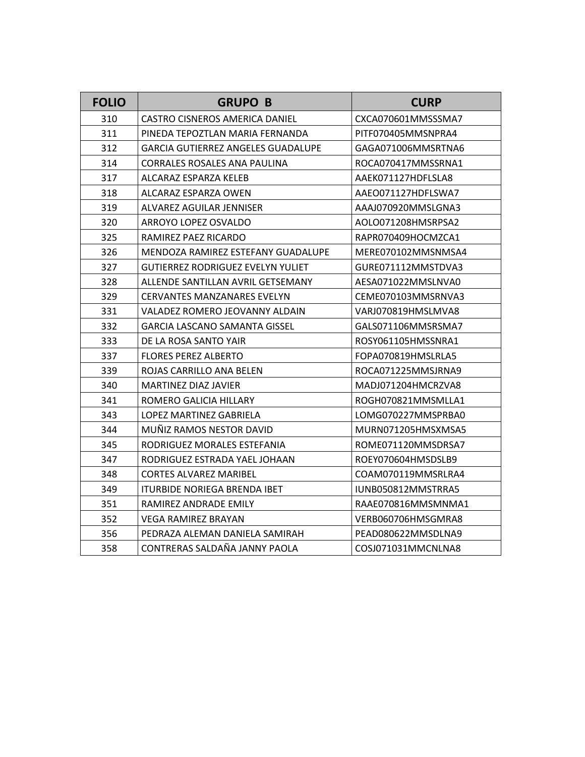| <b>FOLIO</b> | <b>GRUPO B</b>                            | <b>CURP</b>        |
|--------------|-------------------------------------------|--------------------|
| 310          | CASTRO CISNEROS AMERICA DANIEL            | CXCA070601MMSSSMA7 |
| 311          | PINEDA TEPOZTLAN MARIA FERNANDA           | PITF070405MMSNPRA4 |
| 312          | <b>GARCIA GUTIERREZ ANGELES GUADALUPE</b> | GAGA071006MMSRTNA6 |
| 314          | <b>CORRALES ROSALES ANA PAULINA</b>       | ROCA070417MMSSRNA1 |
| 317          | ALCARAZ ESPARZA KELEB                     | AAEK071127HDFLSLA8 |
| 318          | ALCARAZ ESPARZA OWEN                      | AAEO071127HDFLSWA7 |
| 319          | ALVAREZ AGUILAR JENNISER                  | AAAJ070920MMSLGNA3 |
| 320          | ARROYO LOPEZ OSVALDO                      | AOLO071208HMSRPSA2 |
| 325          | RAMIREZ PAEZ RICARDO                      | RAPR070409HOCMZCA1 |
| 326          | MENDOZA RAMIREZ ESTEFANY GUADALUPE        | MERE070102MMSNMSA4 |
| 327          | GUTIERREZ RODRIGUEZ EVELYN YULIET         | GURE071112MMSTDVA3 |
| 328          | ALLENDE SANTILLAN AVRIL GETSEMANY         | AESA071022MMSLNVA0 |
| 329          | CERVANTES MANZANARES EVELYN               | CEME070103MMSRNVA3 |
| 331          | VALADEZ ROMERO JEOVANNY ALDAIN            | VARJ070819HMSLMVA8 |
| 332          | GARCIA LASCANO SAMANTA GISSEL             | GALS071106MMSRSMA7 |
| 333          | DE LA ROSA SANTO YAIR                     | ROSY061105HMSSNRA1 |
| 337          | <b>FLORES PEREZ ALBERTO</b>               | FOPA070819HMSLRLA5 |
| 339          | ROJAS CARRILLO ANA BELEN                  | ROCA071225MMSJRNA9 |
| 340          | MARTINEZ DIAZ JAVIER                      | MADJ071204HMCRZVA8 |
| 341          | ROMERO GALICIA HILLARY                    | ROGH070821MMSMLLA1 |
| 343          | LOPEZ MARTINEZ GABRIELA                   | LOMG070227MMSPRBA0 |
| 344          | MUÑIZ RAMOS NESTOR DAVID                  | MURN071205HMSXMSA5 |
| 345          | RODRIGUEZ MORALES ESTEFANIA               | ROME071120MMSDRSA7 |
| 347          | RODRIGUEZ ESTRADA YAEL JOHAAN             | ROEY070604HMSDSLB9 |
| 348          | <b>CORTES ALVAREZ MARIBEL</b>             | COAM070119MMSRLRA4 |
| 349          | ITURBIDE NORIEGA BRENDA IBET              | IUNB050812MMSTRRA5 |
| 351          | RAMIREZ ANDRADE EMILY                     | RAAE070816MMSMNMA1 |
| 352          | VEGA RAMIREZ BRAYAN                       | VERB060706HMSGMRA8 |
| 356          | PEDRAZA ALEMAN DANIELA SAMIRAH            | PEAD080622MMSDLNA9 |
| 358          | CONTRERAS SALDAÑA JANNY PAOLA             | COSJ071031MMCNLNA8 |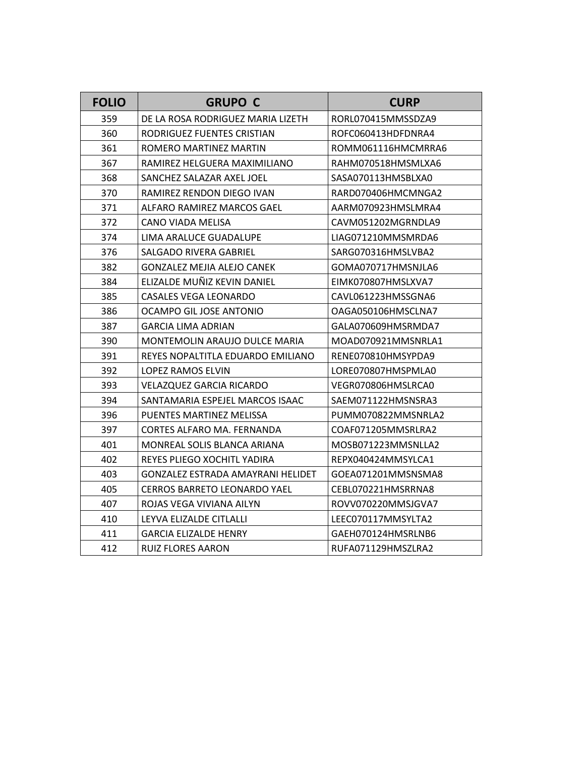| <b>FOLIO</b> | <b>GRUPO C</b>                    | <b>CURP</b>        |
|--------------|-----------------------------------|--------------------|
| 359          | DE LA ROSA RODRIGUEZ MARIA LIZETH | RORL070415MMSSDZA9 |
| 360          | RODRIGUEZ FUENTES CRISTIAN        | ROFC060413HDFDNRA4 |
| 361          | ROMERO MARTINEZ MARTIN            | ROMM061116HMCMRRA6 |
| 367          | RAMIREZ HELGUERA MAXIMILIANO      | RAHM070518HMSMLXA6 |
| 368          | SANCHEZ SALAZAR AXEL JOEL         | SASA070113HMSBLXA0 |
| 370          | RAMIREZ RENDON DIEGO IVAN         | RARD070406HMCMNGA2 |
| 371          | ALFARO RAMIREZ MARCOS GAEL        | AARM070923HMSLMRA4 |
| 372          | CANO VIADA MELISA                 | CAVM051202MGRNDLA9 |
| 374          | LIMA ARALUCE GUADALUPE            | LIAG071210MMSMRDA6 |
| 376          | <b>SALGADO RIVERA GABRIEL</b>     | SARG070316HMSLVBA2 |
| 382          | <b>GONZALEZ MEJIA ALEJO CANEK</b> | GOMA070717HMSNJLA6 |
| 384          | ELIZALDE MUÑIZ KEVIN DANIEL       | EIMK070807HMSLXVA7 |
| 385          | <b>CASALES VEGA LEONARDO</b>      | CAVL061223HMSSGNA6 |
| 386          | OCAMPO GIL JOSE ANTONIO           | OAGA050106HMSCLNA7 |
| 387          | GARCIA LIMA ADRIAN                | GALA070609HMSRMDA7 |
| 390          | MONTEMOLIN ARAUJO DULCE MARIA     | MOAD070921MMSNRLA1 |
| 391          | REYES NOPALTITLA EDUARDO EMILIANO | RENE070810HMSYPDA9 |
| 392          | LOPEZ RAMOS ELVIN                 | LORE070807HMSPMLA0 |
| 393          | <b>VELAZQUEZ GARCIA RICARDO</b>   | VEGR070806HMSLRCA0 |
| 394          | SANTAMARIA ESPEJEL MARCOS ISAAC   | SAEM071122HMSNSRA3 |
| 396          | PUENTES MARTINEZ MELISSA          | PUMM070822MMSNRLA2 |
| 397          | CORTES ALFARO MA. FERNANDA        | COAF071205MMSRLRA2 |
| 401          | MONREAL SOLIS BLANCA ARIANA       | MOSB071223MMSNLLA2 |
| 402          | REYES PLIEGO XOCHITL YADIRA       | REPX040424MMSYLCA1 |
| 403          | GONZALEZ ESTRADA AMAYRANI HELIDET | GOEA071201MMSNSMA8 |
| 405          | CERROS BARRETO LEONARDO YAEL      | CEBL070221HMSRRNA8 |
| 407          | ROJAS VEGA VIVIANA AILYN          | ROVV070220MMSJGVA7 |
| 410          | LEYVA ELIZALDE CITLALLI           | LEEC070117MMSYLTA2 |
| 411          | GARCIA ELIZALDE HENRY             | GAEH070124HMSRLNB6 |
| 412          | RUIZ FLORES AARON                 | RUFA071129HMSZLRA2 |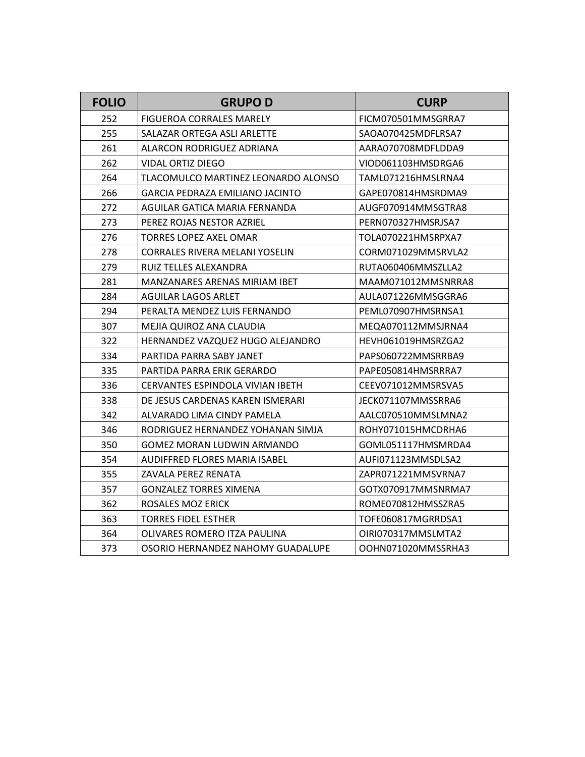| <b>FOLIO</b> | <b>GRUPOD</b>                        | <b>CURP</b>        |
|--------------|--------------------------------------|--------------------|
| 252          | FIGUEROA CORRALES MARELY             | FICM070501MMSGRRA7 |
| 255          | SALAZAR ORTEGA ASLI ARLETTE          | SAOA070425MDFLRSA7 |
| 261          | ALARCON RODRIGUEZ ADRIANA            | AARA070708MDFLDDA9 |
| 262          | VIDAL ORTIZ DIEGO                    | VIOD061103HMSDRGA6 |
| 264          | TLACOMULCO MARTINEZ LEONARDO ALONSO  | TAML071216HMSLRNA4 |
| 266          | GARCIA PEDRAZA EMILIANO JACINTO      | GAPE070814HMSRDMA9 |
| 272          | AGUILAR GATICA MARIA FERNANDA        | AUGF070914MMSGTRA8 |
| 273          | PEREZ ROJAS NESTOR AZRIEL            | PERN070327HMSRJSA7 |
| 276          | TORRES LOPEZ AXEL OMAR               | TOLA070221HMSRPXA7 |
| 278          | CORRALES RIVERA MELANI YOSELIN       | CORM071029MMSRVLA2 |
| 279          | RUIZ TELLES ALEXANDRA                | RUTA060406MMSZLLA2 |
| 281          | MANZANARES ARENAS MIRIAM IBET        | MAAM071012MMSNRRA8 |
| 284          | <b>AGUILAR LAGOS ARLET</b>           | AULA071226MMSGGRA6 |
| 294          | PERALTA MENDEZ LUIS FERNANDO         | PEML070907HMSRNSA1 |
| 307          | MEJIA QUIROZ ANA CLAUDIA             | MEQA070112MMSJRNA4 |
| 322          | HERNANDEZ VAZQUEZ HUGO ALEJANDRO     | HEVH061019HMSRZGA2 |
| 334          | PARTIDA PARRA SABY JANET             | PAPS060722MMSRRBA9 |
| 335          | PARTIDA PARRA ERIK GERARDO           | PAPE050814HMSRRRA7 |
| 336          | CERVANTES ESPINDOLA VIVIAN IBETH     | CEEV071012MMSRSVA5 |
| 338          | DE JESUS CARDENAS KAREN ISMERARI     | JECK071107MMSSRRA6 |
| 342          | ALVARADO LIMA CINDY PAMELA           | AALC070510MMSLMNA2 |
| 346          | RODRIGUEZ HERNANDEZ YOHANAN SIMJA    | ROHY071015HMCDRHA6 |
| 350          | GOMEZ MORAN LUDWIN ARMANDO           | GOML051117HMSMRDA4 |
| 354          | <b>AUDIFFRED FLORES MARIA ISABEL</b> | AUFI071123MMSDLSA2 |
| 355          | ZAVALA PEREZ RENATA                  | ZAPR071221MMSVRNA7 |
| 357          | GONZALEZ TORRES XIMENA               | GOTX070917MMSNRMA7 |
| 362          | ROSALES MOZ ERICK                    | ROME070812HMSSZRA5 |
| 363          | TORRES FIDEL ESTHER                  | TOFE060817MGRRDSA1 |
| 364          | OLIVARES ROMERO ITZA PAULINA         | OIRI070317MMSLMTA2 |
| 373          | OSORIO HERNANDEZ NAHOMY GUADALUPE    | OOHN071020MMSSRHA3 |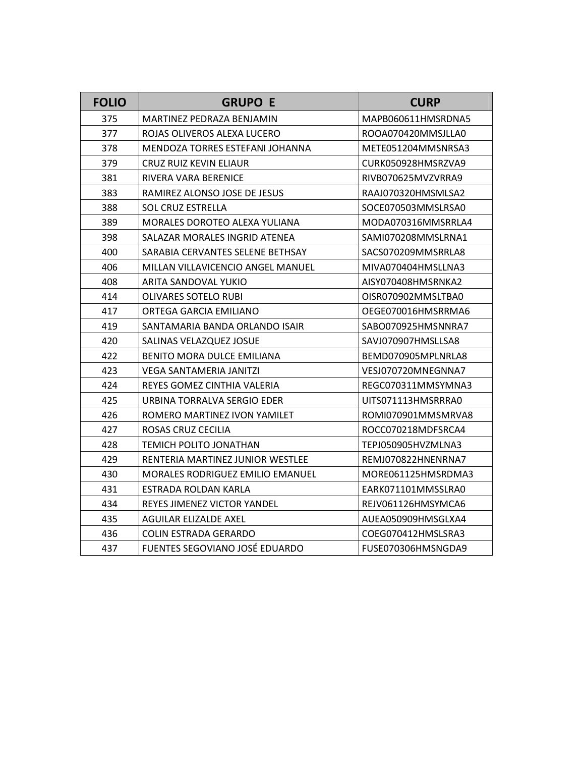| <b>FOLIO</b> | <b>GRUPO E</b>                          | <b>CURP</b>        |
|--------------|-----------------------------------------|--------------------|
| 375          | MARTINEZ PEDRAZA BENJAMIN               | MAPB060611HMSRDNA5 |
| 377          | ROJAS OLIVEROS ALEXA LUCERO             | ROOA070420MMSJLLA0 |
| 378          | MENDOZA TORRES ESTEFANI JOHANNA         | METE051204MMSNRSA3 |
| 379          | CRUZ RUIZ KEVIN ELIAUR                  | CURK050928HMSRZVA9 |
| 381          | RIVERA VARA BERENICE                    | RIVB070625MVZVRRA9 |
| 383          | RAMIREZ ALONSO JOSE DE JESUS            | RAAJ070320HMSMLSA2 |
| 388          | <b>SOL CRUZ ESTRELLA</b>                | SOCE070503MMSLRSA0 |
| 389          | MORALES DOROTEO ALEXA YULIANA           | MODA070316MMSRRLA4 |
| 398          | SALAZAR MORALES INGRID ATENEA           | SAMI070208MMSLRNA1 |
| 400          | SARABIA CERVANTES SELENE BETHSAY        | SACS070209MMSRRLA8 |
| 406          | MILLAN VILLAVICENCIO ANGEL MANUEL       | MIVA070404HMSLLNA3 |
| 408          | ARITA SANDOVAL YUKIO                    | AISY070408HMSRNKA2 |
| 414          | OLIVARES SOTELO RUBI                    | OISR070902MMSLTBA0 |
| 417          | ORTEGA GARCIA EMILIANO                  | OEGE070016HMSRRMA6 |
| 419          | SANTAMARIA BANDA ORLANDO ISAIR          | SABO070925HMSNNRA7 |
| 420          | SALINAS VELAZQUEZ JOSUE                 | SAVJ070907HMSLLSA8 |
| 422          | BENITO MORA DULCE EMILIANA              | BEMD070905MPLNRLA8 |
| 423          | VEGA SANTAMERIA JANITZI                 | VESJ070720MNEGNNA7 |
| 424          | REYES GOMEZ CINTHIA VALERIA             | REGC070311MMSYMNA3 |
| 425          | URBINA TORRALVA SERGIO EDER             | UITS071113HMSRRRA0 |
| 426          | ROMERO MARTINEZ IVON YAMILET            | ROMI070901MMSMRVA8 |
| 427          | ROSAS CRUZ CECILIA                      | ROCC070218MDFSRCA4 |
| 428          | TEMICH POLITO JONATHAN                  | TEPJ050905HVZMLNA3 |
| 429          | RENTERIA MARTINEZ JUNIOR WESTLEE        | REMJ070822HNENRNA7 |
| 430          | <b>MORALES RODRIGUEZ EMILIO EMANUEL</b> | MORE061125HMSRDMA3 |
| 431          | ESTRADA ROLDAN KARLA                    | EARK071101MMSSLRA0 |
| 434          | REYES JIMENEZ VICTOR YANDEL             | REJV061126HMSYMCA6 |
| 435          | AGUILAR ELIZALDE AXEL                   | AUEA050909HMSGLXA4 |
| 436          | <b>COLIN ESTRADA GERARDO</b>            | COEG070412HMSLSRA3 |
| 437          | FUENTES SEGOVIANO JOSÉ EDUARDO          | FUSE070306HMSNGDA9 |